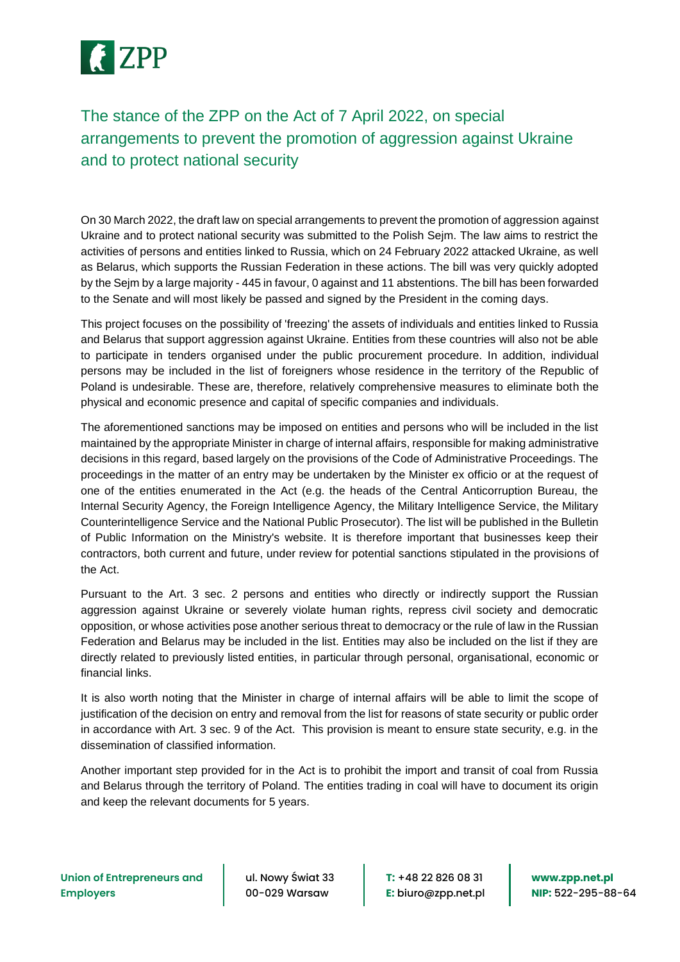

## The stance of the ZPP on the Act of 7 April 2022, on special arrangements to prevent the promotion of aggression against Ukraine and to protect national security

On 30 March 2022, the draft law on special arrangements to prevent the promotion of aggression against Ukraine and to protect national security was submitted to the Polish Sejm. The law aims to restrict the activities of persons and entities linked to Russia, which on 24 February 2022 attacked Ukraine, as well as Belarus, which supports the Russian Federation in these actions. The bill was very quickly adopted by the Sejm by a large majority - 445 in favour, 0 against and 11 abstentions. The bill has been forwarded to the Senate and will most likely be passed and signed by the President in the coming days.

This project focuses on the possibility of 'freezing' the assets of individuals and entities linked to Russia and Belarus that support aggression against Ukraine. Entities from these countries will also not be able to participate in tenders organised under the public procurement procedure. In addition, individual persons may be included in the list of foreigners whose residence in the territory of the Republic of Poland is undesirable. These are, therefore, relatively comprehensive measures to eliminate both the physical and economic presence and capital of specific companies and individuals.

The aforementioned sanctions may be imposed on entities and persons who will be included in the list maintained by the appropriate Minister in charge of internal affairs, responsible for making administrative decisions in this regard, based largely on the provisions of the Code of Administrative Proceedings. The proceedings in the matter of an entry may be undertaken by the Minister ex officio or at the request of one of the entities enumerated in the Act (e.g. the heads of the Central Anticorruption Bureau, the Internal Security Agency, the Foreign Intelligence Agency, the Military Intelligence Service, the Military Counterintelligence Service and the National Public Prosecutor). The list will be published in the Bulletin of Public Information on the Ministry's website. It is therefore important that businesses keep their contractors, both current and future, under review for potential sanctions stipulated in the provisions of the Act.

Pursuant to the Art. 3 sec. 2 persons and entities who directly or indirectly support the Russian aggression against Ukraine or severely violate human rights, repress civil society and democratic opposition, or whose activities pose another serious threat to democracy or the rule of law in the Russian Federation and Belarus may be included in the list. Entities may also be included on the list if they are directly related to previously listed entities, in particular through personal, organisational, economic or financial links.

It is also worth noting that the Minister in charge of internal affairs will be able to limit the scope of justification of the decision on entry and removal from the list for reasons of state security or public order in accordance with Art. 3 sec. 9 of the Act. This provision is meant to ensure state security, e.g. in the dissemination of classified information.

Another important step provided for in the Act is to prohibit the import and transit of coal from Russia and Belarus through the territory of Poland. The entities trading in coal will have to document its origin and keep the relevant documents for 5 years.

ul. Nowy Świat 33 00-029 Warsaw

**T:** +48 22 826 08 31 **E:** biuro@zpp.net.pl